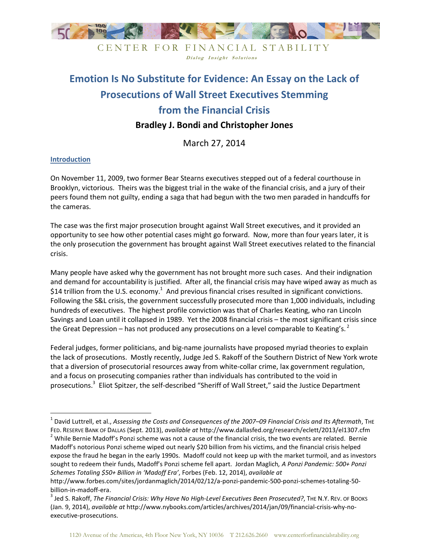

Dialog Insight Solutions

# **Emotion Is No Substitute for Evidence: An Essay on the Lack of Prosecutions of Wall Street Executives Stemming from the Financial Crisis**

# **Bradley J. Bondi and Christopher Jones**

March 27, 2014

#### **Introduction**

 $\overline{a}$ 

On November 11, 2009, two former Bear Stearns executives stepped out of a federal courthouse in Brooklyn, victorious. Theirs was the biggest trial in the wake of the financial crisis, and a jury of their peers found them not guilty, ending a saga that had begun with the two men paraded in handcuffs for the cameras.

The case was the first major prosecution brought against Wall Street executives, and it provided an opportunity to see how other potential cases might go forward. Now, more than four years later, it is the only prosecution the government has brought against Wall Street executives related to the financial crisis.

Many people have asked why the government has not brought more such cases. And their indignation and demand for accountability is justified. After all, the financial crisis may have wiped away as much as \$14 trillion from the U.S. economy.<sup>1</sup> And previous financial crises resulted in significant convictions. Following the S&L crisis, the government successfully prosecuted more than 1,000 individuals, including hundreds of executives. The highest profile conviction was that of Charles Keating, who ran Lincoln Savings and Loan until it collapsed in 1989. Yet the 2008 financial crisis – the most significant crisis since the Great Depression – has not produced any prosecutions on a level comparable to Keating's.<sup>2</sup>

Federal judges, former politicians, and big-name journalists have proposed myriad theories to explain the lack of prosecutions. Mostly recently, Judge Jed S. Rakoff of the Southern District of New York wrote that a diversion of prosecutorial resources away from white-collar crime, lax government regulation, and a focus on prosecuting companies rather than individuals has contributed to the void in prosecutions.<sup>3</sup> Eliot Spitzer, the self-described "Sheriff of Wall Street," said the Justice Department

<sup>&</sup>lt;sup>1</sup> David Luttrell, et al., Assessing the Costs and Consequences of the 2007–09 Financial Crisis and Its Aftermath, The FED. RESERVE BANK OF DALLAS (Sept. 2013), *available at* http://www.dallasfed.org/research/eclett/2013/el1307.cfm

 $2$  While Bernie Madoff's Ponzi scheme was not a cause of the financial crisis, the two events are related. Bernie Madoff's notorious Ponzi scheme wiped out nearly \$20 billion from his victims, and the financial crisis helped expose the fraud he began in the early 1990s. Madoff could not keep up with the market turmoil, and as investors sought to redeem their funds, Madoff's Ponzi scheme fell apart. Jordan Maglich*, A Ponzi Pandemic: 500+ Ponzi Schemes Totaling \$50+ Billion in 'Madoff Era'*, Forbes (Feb. 12, 2014), *available at* 

http://www.forbes.com/sites/jordanmaglich/2014/02/12/a-ponzi-pandemic-500-ponzi-schemes-totaling-50 billion-in-madoff-era.

<sup>&</sup>lt;sup>3</sup> Jed S. Rakoff, *The Financial Crisis: Why Have No High-Level Executives Been Prosecuted?*, The N.Y. Rev. of Books (Jan. 9, 2014), *available at* http://www.nybooks.com/articles/archives/2014/jan/09/financial-crisis-why-noexecutive-prosecutions.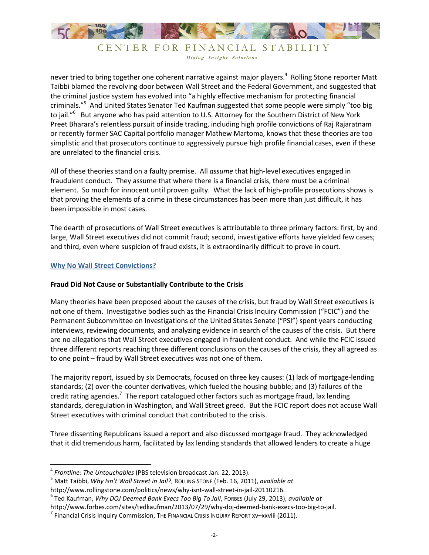

CENTER FOR FINANCIAL STABILITY Dialog Insight Solutions

never tried to bring together one coherent narrative against major players.<sup>4</sup> Rolling Stone reporter Matt Taibbi blamed the revolving door between Wall Street and the Federal Government, and suggested that the criminal justice system has evolved into "a highly effective mechanism for protecting financial criminals."<sup>5</sup> And United States Senator Ted Kaufman suggested that some people were simply "too big to jail."<sup>6</sup> But anyone who has paid attention to U.S. Attorney for the Southern District of New York Preet Bharara's relentless pursuit of inside trading, including high profile convictions of Raj Rajaratnam or recently former SAC Capital portfolio manager Mathew Martoma, knows that these theories are too simplistic and that prosecutors continue to aggressively pursue high profile financial cases, even if these are unrelated to the financial crisis.

All of these theories stand on a faulty premise. All *assume* that high-level executives engaged in fraudulent conduct. They assume that where there is a financial crisis, there must be a criminal element. So much for innocent until proven guilty. What the lack of high-profile prosecutions shows is that proving the elements of a crime in these circumstances has been more than just difficult, it has been impossible in most cases.

The dearth of prosecutions of Wall Street executives is attributable to three primary factors: first, by and large, Wall Street executives did not commit fraud; second, investigative efforts have yielded few cases; and third, even where suspicion of fraud exists, it is extraordinarily difficult to prove in court.

## **Why No Wall Street Convictions?**

<u>.</u>

#### **Fraud Did Not Cause or Substantially Contribute to the Crisis**

Many theories have been proposed about the causes of the crisis, but fraud by Wall Street executives is not one of them. Investigative bodies such as the Financial Crisis Inquiry Commission ("FCIC") and the Permanent Subcommittee on Investigations of the United States Senate ("PSI") spent years conducting interviews, reviewing documents, and analyzing evidence in search of the causes of the crisis. But there are no allegations that Wall Street executives engaged in fraudulent conduct. And while the FCIC issued three different reports reaching three different conclusions on the causes of the crisis, they all agreed as to one point – fraud by Wall Street executives was not one of them.

The majority report, issued by six Democrats, focused on three key causes: (1) lack of mortgage-lending standards; (2) over-the-counter derivatives, which fueled the housing bubble; and (3) failures of the credit rating agencies.<sup>7</sup> The report catalogued other factors such as mortgage fraud, lax lending standards, deregulation in Washington, and Wall Street greed. But the FCIC report does not accuse Wall Street executives with criminal conduct that contributed to the crisis.

Three dissenting Republicans issued a report and also discussed mortgage fraud. They acknowledged that it did tremendous harm, facilitated by lax lending standards that allowed lenders to create a huge

<sup>4</sup> *Frontline: The Untouchables* (PBS television broadcast Jan. 22, 2013).

<sup>5</sup> Matt Taibbi, *Why Isn't Wall Street in Jail?*, ROLLING STONE (Feb. 16, 2011), *available at* http://www.rollingstone.com/politics/news/why-isnt-wall-street-in-jail-20110216.

<sup>6</sup> Ted Kaufman, *Why DOJ Deemed Bank Execs Too Big To Jail*, FORBES (July 29, 2013), *available at* 

http://www.forbes.com/sites/tedkaufman/2013/07/29/why-doj-deemed-bank-execs-too-big-to-jail.

 $^7$  Financial Crisis Inquiry Commission, The Financial Crisis Inquiry Report xv–xxviii (2011).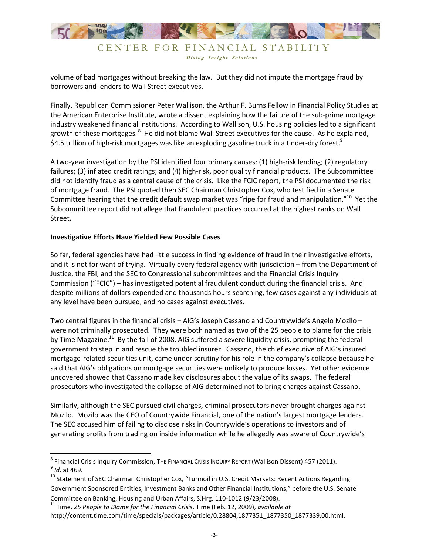

Dialog Insight Solutions

volume of bad mortgages without breaking the law. But they did not impute the mortgage fraud by borrowers and lenders to Wall Street executives.

Finally, Republican Commissioner Peter Wallison, the Arthur F. Burns Fellow in Financial Policy Studies at the American Enterprise Institute, wrote a dissent explaining how the failure of the sub-prime mortgage industry weakened financial institutions. According to Wallison, U.S. housing policies led to a significant growth of these mortgages.<sup>8</sup> He did not blame Wall Street executives for the cause. As he explained, \$4.5 trillion of high-risk mortgages was like an exploding gasoline truck in a tinder-dry forest.<sup>9</sup>

A two-year investigation by the PSI identified four primary causes: (1) high-risk lending; (2) regulatory failures; (3) inflated credit ratings; and (4) high-risk, poor quality financial products. The Subcommittee did not identify fraud as a central cause of the crisis. Like the FCIC report, the PSI documented the risk of mortgage fraud. The PSI quoted then SEC Chairman Christopher Cox, who testified in a Senate Committee hearing that the credit default swap market was "ripe for fraud and manipulation."<sup>10</sup> Yet the Subcommittee report did not allege that fraudulent practices occurred at the highest ranks on Wall Street.

#### **Investigative Efforts Have Yielded Few Possible Cases**

 $\overline{a}$ 

So far, federal agencies have had little success in finding evidence of fraud in their investigative efforts, and it is not for want of trying. Virtually every federal agency with jurisdiction – from the Department of Justice, the FBI, and the SEC to Congressional subcommittees and the Financial Crisis Inquiry Commission ("FCIC") – has investigated potential fraudulent conduct during the financial crisis. And despite millions of dollars expended and thousands hours searching, few cases against any individuals at any level have been pursued, and no cases against executives.

Two central figures in the financial crisis – AIG's Joseph Cassano and Countrywide's Angelo Mozilo – were not criminally prosecuted. They were both named as two of the 25 people to blame for the crisis by Time Magazine.<sup>11</sup> By the fall of 2008, AIG suffered a severe liquidity crisis, prompting the federal government to step in and rescue the troubled insurer. Cassano, the chief executive of AIG's insured mortgage-related securities unit, came under scrutiny for his role in the company's collapse because he said that AIG's obligations on mortgage securities were unlikely to produce losses. Yet other evidence uncovered showed that Cassano made key disclosures about the value of its swaps. The federal prosecutors who investigated the collapse of AIG determined not to bring charges against Cassano.

Similarly, although the SEC pursued civil charges, criminal prosecutors never brought charges against Mozilo. Mozilo was the CEO of Countrywide Financial, one of the nation's largest mortgage lenders. The SEC accused him of failing to disclose risks in Countrywide's operations to investors and of generating profits from trading on inside information while he allegedly was aware of Countrywide's

 $^8$  Financial Crisis Inquiry Commission, The Financial Crisis Inquiry Report (Wallison Dissent) 457 (2011). 9 *Id.* at 469.

<sup>&</sup>lt;sup>10</sup> Statement of SEC Chairman Christopher Cox, "Turmoil in U.S. Credit Markets: Recent Actions Regarding Government Sponsored Entities, Investment Banks and Other Financial Institutions," before the U.S. Senate Committee on Banking, Housing and Urban Affairs, S.Hrg. 110-1012 (9/23/2008).

<sup>11</sup> Time, *25 People to Blame for the Financial Crisis*, Time (Feb. 12, 2009), *available at*  http://content.time.com/time/specials/packages/article/0,28804,1877351\_1877350\_1877339,00.html.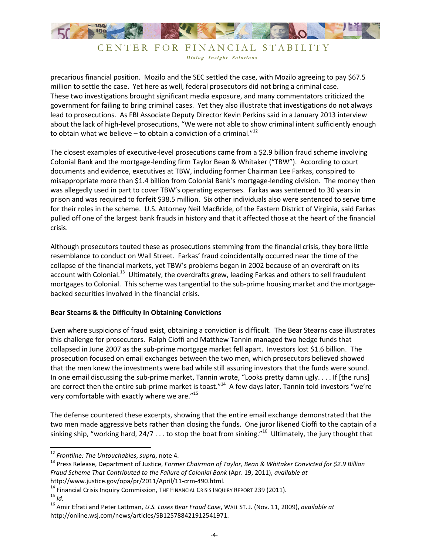

# CENTER FOR FINANCIAL STABILITY Dialog Insight Solutions

precarious financial position. Mozilo and the SEC settled the case, with Mozilo agreeing to pay \$67.5 million to settle the case. Yet here as well, federal prosecutors did not bring a criminal case. These two investigations brought significant media exposure, and many commentators criticized the government for failing to bring criminal cases. Yet they also illustrate that investigations do not always lead to prosecutions. As FBI Associate Deputy Director Kevin Perkins said in a January 2013 interview about the lack of high-level prosecutions, "We were not able to show criminal intent sufficiently enough to obtain what we believe  $-$  to obtain a conviction of a criminal." $^{12}$ 

The closest examples of executive-level prosecutions came from a \$2.9 billion fraud scheme involving Colonial Bank and the mortgage-lending firm Taylor Bean & Whitaker ("TBW"). According to court documents and evidence, executives at TBW, including former Chairman Lee Farkas, conspired to misappropriate more than \$1.4 billion from Colonial Bank's mortgage-lending division. The money then was allegedly used in part to cover TBW's operating expenses. Farkas was sentenced to 30 years in prison and was required to forfeit \$38.5 million. Six other individuals also were sentenced to serve time for their roles in the scheme. U.S. Attorney Neil MacBride, of the Eastern District of Virginia, said Farkas pulled off one of the largest bank frauds in history and that it affected those at the heart of the financial crisis.

Although prosecutors touted these as prosecutions stemming from the financial crisis, they bore little resemblance to conduct on Wall Street. Farkas' fraud coincidentally occurred near the time of the collapse of the financial markets, yet TBW's problems began in 2002 because of an overdraft on its account with Colonial.<sup>13</sup> Ultimately, the overdrafts grew, leading Farkas and others to sell fraudulent mortgages to Colonial. This scheme was tangential to the sub-prime housing market and the mortgagebacked securities involved in the financial crisis.

## **Bear Stearns & the Difficulty In Obtaining Convictions**

Even where suspicions of fraud exist, obtaining a conviction is difficult. The Bear Stearns case illustrates this challenge for prosecutors. Ralph Cioffi and Matthew Tannin managed two hedge funds that collapsed in June 2007 as the sub-prime mortgage market fell apart. Investors lost \$1.6 billion. The prosecution focused on email exchanges between the two men, which prosecutors believed showed that the men knew the investments were bad while still assuring investors that the funds were sound. In one email discussing the sub-prime market, Tannin wrote, "Looks pretty damn ugly. . . . If [the runs] are correct then the entire sub-prime market is toast."<sup>14</sup> A few days later, Tannin told investors "we're very comfortable with exactly where we are."<sup>15</sup>

The defense countered these excerpts, showing that the entire email exchange demonstrated that the two men made aggressive bets rather than closing the funds. One juror likened Cioffi to the captain of a sinking ship, "working hard,  $24/7$  ... to stop the boat from sinking."<sup>16</sup> Ultimately, the jury thought that

 $\overline{a}$ 

<sup>12</sup> *Frontline: The Untouchables*, *supra*, note 4.

<sup>13</sup> Press Release, Department of Justice, *Former Chairman of Taylor, Bean & Whitaker Convicted for \$2.9 Billion Fraud Scheme That Contributed to the Failure of Colonial Bank* (Apr. 19, 2011), *available at*  http://www.justice.gov/opa/pr/2011/April/11-crm-490.html.

<sup>&</sup>lt;sup>14</sup> Financial Crisis Inquiry Commission, The FINANCIAL CRISIS INQUIRY REPORT 239 (2011). <sup>15</sup> *Id.*

<sup>16</sup> Amir Efrati and Peter Lattman, *U.S. Loses Bear Fraud Case*, WALL ST. J. (Nov. 11, 2009), *available at*  http://online.wsj.com/news/articles/SB125788421912541971.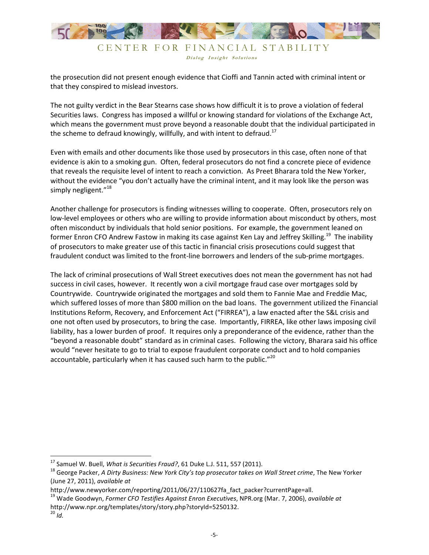

Dialog Insight Solutions

the prosecution did not present enough evidence that Cioffi and Tannin acted with criminal intent or that they conspired to mislead investors.

The not guilty verdict in the Bear Stearns case shows how difficult it is to prove a violation of federal Securities laws. Congress has imposed a willful or knowing standard for violations of the Exchange Act, which means the government must prove beyond a reasonable doubt that the individual participated in the scheme to defraud knowingly, willfully, and with intent to defraud.<sup>17</sup>

Even with emails and other documents like those used by prosecutors in this case, often none of that evidence is akin to a smoking gun. Often, federal prosecutors do not find a concrete piece of evidence that reveals the requisite level of intent to reach a conviction. As Preet Bharara told the New Yorker, without the evidence "you don't actually have the criminal intent, and it may look like the person was simply negligent."<sup>18</sup>

Another challenge for prosecutors is finding witnesses willing to cooperate. Often, prosecutors rely on low-level employees or others who are willing to provide information about misconduct by others, most often misconduct by individuals that hold senior positions. For example, the government leaned on former Enron CFO Andrew Fastow in making its case against Ken Lay and Jeffrey Skilling.<sup>19</sup> The inability of prosecutors to make greater use of this tactic in financial crisis prosecutions could suggest that fraudulent conduct was limited to the front-line borrowers and lenders of the sub-prime mortgages.

The lack of criminal prosecutions of Wall Street executives does not mean the government has not had success in civil cases, however. It recently won a civil mortgage fraud case over mortgages sold by Countrywide. Countrywide originated the mortgages and sold them to Fannie Mae and Freddie Mac, which suffered losses of more than \$800 million on the bad loans. The government utilized the Financial Institutions Reform, Recovery, and Enforcement Act ("FIRREA"), a law enacted after the S&L crisis and one not often used by prosecutors, to bring the case. Importantly, FIRREA, like other laws imposing civil liability, has a lower burden of proof. It requires only a preponderance of the evidence, rather than the "beyond a reasonable doubt" standard as in criminal cases. Following the victory, Bharara said his office would "never hesitate to go to trial to expose fraudulent corporate conduct and to hold companies accountable, particularly when it has caused such harm to the public."<sup>20</sup>

-

<sup>&</sup>lt;sup>17</sup> Samuel W. Buell, *What is Securities Fraud?*, 61 Duke L.J. 511, 557 (2011).

<sup>18</sup> George Packer, *A Dirty Business: New York City's top prosecutor takes on Wall Street crime*, The New Yorker (June 27, 2011), *available at*

http://www.newyorker.com/reporting/2011/06/27/110627fa fact packer?currentPage=all.

<sup>19</sup> Wade Goodwyn, *Former CFO Testifies Against Enron Executives*, NPR.org (Mar. 7, 2006), *available at*  http://www.npr.org/templates/story/story.php?storyId=5250132.

 $^{20}$  *Id.*